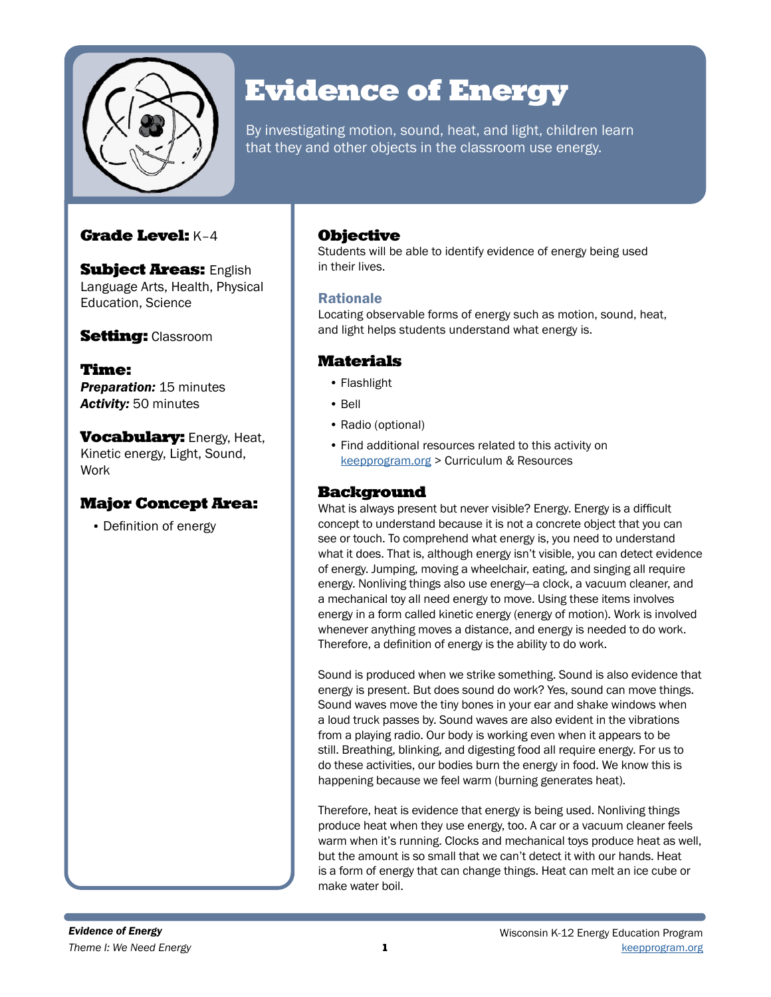

# Evidence of Energy

By investigating motion, sound, heat, and light, children learn that they and other objects in the classroom use energy.

# Grade Level: K–4

**Subject Areas: English** Language Arts, Health, Physical Education, Science

# **Setting: Classroom**

Time: **Preparation: 15 minutes** *Activity:* 50 minutes

**Vocabulary: Energy, Heat,** Kinetic energy, Light, Sound, Work

## Major Concept Area:

• Definition of energy

## **Objective**

Students will be able to identify evidence of energy being used in their lives.

## Rationale

Locating observable forms of energy such as motion, sound, heat, and light helps students understand what energy is.

# **Materials**

- Flashlight
- Bell
- Radio (optional)
- Find additional resources related to this activity on [keepprogram.org](http://keepprogram.org) > Curriculum & Resources

## Background

What is always present but never visible? Energy. Energy is a difficult concept to understand because it is not a concrete object that you can see or touch. To comprehend what energy is, you need to understand what it does. That is, although energy isn't visible, you can detect evidence of energy. Jumping, moving a wheelchair, eating, and singing all require energy. Nonliving things also use energy—a clock, a vacuum cleaner, and a mechanical toy all need energy to move. Using these items involves energy in a form called kinetic energy (energy of motion). Work is involved whenever anything moves a distance, and energy is needed to do work. Therefore, a definition of energy is the ability to do work.

Sound is produced when we strike something. Sound is also evidence that energy is present. But does sound do work? Yes, sound can move things. Sound waves move the tiny bones in your ear and shake windows when a loud truck passes by. Sound waves are also evident in the vibrations from a playing radio. Our body is working even when it appears to be still. Breathing, blinking, and digesting food all require energy. For us to do these activities, our bodies burn the energy in food. We know this is happening because we feel warm (burning generates heat).

Therefore, heat is evidence that energy is being used. Nonliving things produce heat when they use energy, too. A car or a vacuum cleaner feels warm when it's running. Clocks and mechanical toys produce heat as well, but the amount is so small that we can't detect it with our hands. Heat is a form of energy that can change things. Heat can melt an ice cube or make water boil.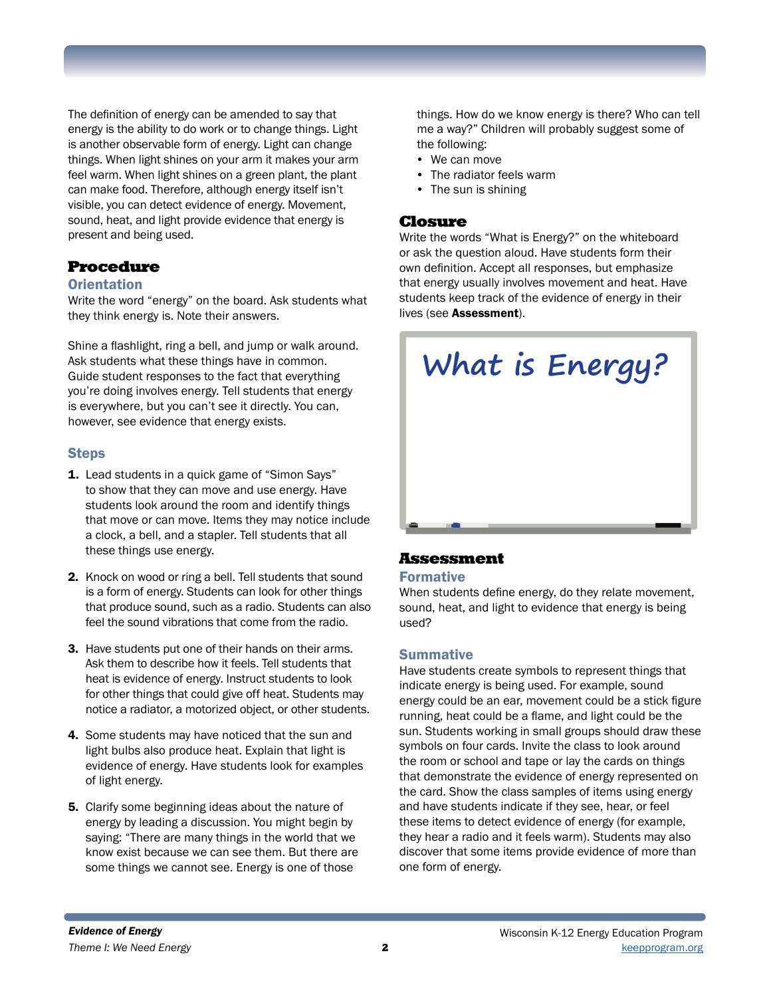The definition of energy can be amended to say that energy is the ability to do work or to change things. Light is another observable form of energy. Light can change things. When light shines on your arm it makes your arm feel warm. When light shines on a green plant, the plant can make food. Therefore, although energy itself isn't visible, you can detect evidence of energy. Movement, sound, heat, and light provide evidence that energy is present and being used.

#### Procedure

#### **Orientation**

Write the word "energy" on the board. Ask students what they think energy is. Note their answers.

Shine a flashlight, ring a bell, and jump or walk around. Ask students what these things have in common. Guide student responses to the fact that everything you're doing involves energy. Tell students that energy is everywhere, but you can't see it directly. You can, however, see evidence that energy exists.

#### Steps

- **1.** Lead students in a quick game of "Simon Says" to show that they can move and use energy. Have students look around the room and identify things that move or can move. Items they may notice include a clock, a bell, and a stapler. Tell students that all these things use energy.
- 2. Knock on wood or ring a bell. Tell students that sound is a form of energy. Students can look for other things that produce sound, such as a radio. Students can also feel the sound vibrations that come from the radio.
- 3. Have students put one of their hands on their arms. Ask them to describe how it feels. Tell students that heat is evidence of energy. Instruct students to look for other things that could give off heat. Students may notice a radiator, a motorized object, or other students.
- 4. Some students may have noticed that the sun and light bulbs also produce heat. Explain that light is evidence of energy. Have students look for examples of light energy.
- **5.** Clarify some beginning ideas about the nature of energy by leading a discussion. You might begin by saying: "There are many things in the world that we know exist because we can see them. But there are some things we cannot see. Energy is one of those

things. How do we know energy is there? Who can tell me a way?" Children will probably suggest some of the following:

- We can move
- The radiator feels warm
- The sun is shining

#### Closure

Write the words "What is Energy?" on the whiteboard or ask the question aloud. Have students form their own definition. Accept all responses, but emphasize that energy usually involves movement and heat. Have students keep track of the evidence of energy in their lives (see Assessment).



#### Assessment

Formative

When students define energy, do they relate movement, sound, heat, and light to evidence that energy is being used?

#### **Summative**

Have students create symbols to represent things that indicate energy is being used. For example, sound energy could be an ear, movement could be a stick figure running, heat could be a flame, and light could be the sun. Students working in small groups should draw these symbols on four cards. Invite the class to look around the room or school and tape or lay the cards on things that demonstrate the evidence of energy represented on the card. Show the class samples of items using energy and have students indicate if they see, hear, or feel these items to detect evidence of energy (for example, they hear a radio and it feels warm). Students may also discover that some items provide evidence of more than one form of energy.